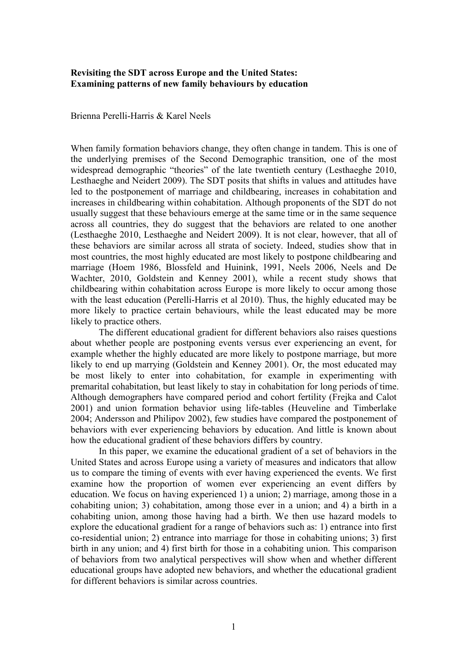## **Revisiting the SDT across Europe and the United States: Examining patterns of new family behaviours by education**

Brienna Perelli-Harris & Karel Neels

When family formation behaviors change, they often change in tandem. This is one of the underlying premises of the Second Demographic transition, one of the most widespread demographic "theories" of the late twentieth century (Lesthaeghe 2010, Lesthaeghe and Neidert 2009). The SDT posits that shifts in values and attitudes have led to the postponement of marriage and childbearing, increases in cohabitation and increases in childbearing within cohabitation. Although proponents of the SDT do not usually suggest that these behaviours emerge at the same time or in the same sequence across all countries, they do suggest that the behaviors are related to one another (Lesthaeghe 2010, Lesthaeghe and Neidert 2009). It is not clear, however, that all of these behaviors are similar across all strata of society. Indeed, studies show that in most countries, the most highly educated are most likely to postpone childbearing and marriage (Hoem 1986, Blossfeld and Huinink, 1991, Neels 2006, Neels and De Wachter, 2010, Goldstein and Kenney 2001), while a recent study shows that childbearing within cohabitation across Europe is more likely to occur among those with the least education (Perelli-Harris et al 2010). Thus, the highly educated may be more likely to practice certain behaviours, while the least educated may be more likely to practice others.

The different educational gradient for different behaviors also raises questions about whether people are postponing events versus ever experiencing an event, for example whether the highly educated are more likely to postpone marriage, but more likely to end up marrying (Goldstein and Kenney 2001). Or, the most educated may be most likely to enter into cohabitation, for example in experimenting with premarital cohabitation, but least likely to stay in cohabitation for long periods of time. Although demographers have compared period and cohort fertility (Frejka and Calot 2001) and union formation behavior using life-tables (Heuveline and Timberlake 2004; Andersson and Philipov 2002), few studies have compared the postponement of behaviors with ever experiencing behaviors by education. And little is known about how the educational gradient of these behaviors differs by country.

In this paper, we examine the educational gradient of a set of behaviors in the United States and across Europe using a variety of measures and indicators that allow us to compare the timing of events with ever having experienced the events. We first examine how the proportion of women ever experiencing an event differs by education. We focus on having experienced 1) a union; 2) marriage, among those in a cohabiting union; 3) cohabitation, among those ever in a union; and 4) a birth in a cohabiting union, among those having had a birth. We then use hazard models to explore the educational gradient for a range of behaviors such as: 1) entrance into first co-residential union; 2) entrance into marriage for those in cohabiting unions; 3) first birth in any union; and 4) first birth for those in a cohabiting union. This comparison of behaviors from two analytical perspectives will show when and whether different educational groups have adopted new behaviors, and whether the educational gradient for different behaviors is similar across countries.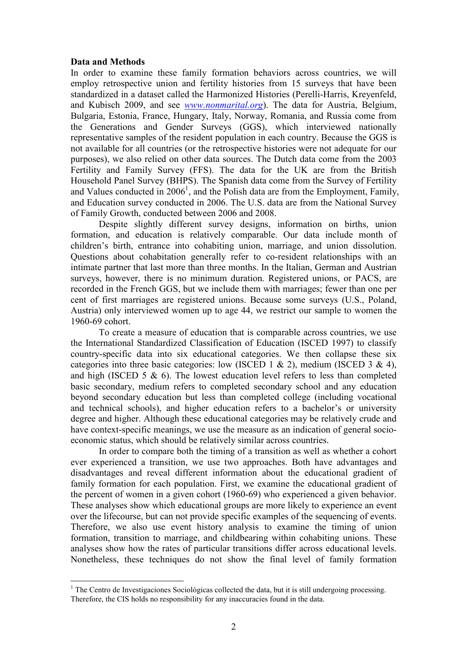## **Data and Methods**

In order to examine these family formation behaviors across countries, we will employ retrospective union and fertility histories from 15 surveys that have been standardized in a dataset called the Harmonized Histories (Perelli-Harris, Kreyenfeld, and Kubisch 2009, and see *[www.nonmarital.org](http://www.nonmarital.org/)*). The data for Austria, Belgium, Bulgaria, Estonia, France, Hungary, Italy, Norway, Romania, and Russia come from the Generations and Gender Surveys (GGS), which interviewed nationally representative samples of the resident population in each country. Because the GGS is not available for all countries (or the retrospective histories were not adequate for our purposes), we also relied on other data sources. The Dutch data come from the 2003 Fertility and Family Survey (FFS). The data for the UK are from the British Household Panel Survey (BHPS). The Spanish data come from the Survey of Fertility and Values conducted in  $2006<sup>1</sup>$ , and the Polish data are from the Employment, Family, and Education survey conducted in 2006. The U.S. data are from the National Survey of Family Growth, conducted between 2006 and 2008.

 Despite slightly different survey designs, information on births, union formation, and education is relatively comparable. Our data include month of children's birth, entrance into cohabiting union, marriage, and union dissolution. Questions about cohabitation generally refer to co-resident relationships with an intimate partner that last more than three months. In the Italian, German and Austrian surveys, however, there is no minimum duration. Registered unions, or PACS, are recorded in the French GGS, but we include them with marriages; fewer than one per cent of first marriages are registered unions. Because some surveys (U.S., Poland, Austria) only interviewed women up to age 44, we restrict our sample to women the 1960-69 cohort.

 To create a measure of education that is comparable across countries, we use the International Standardized Classification of Education (ISCED 1997) to classify country-specific data into six educational categories. We then collapse these six categories into three basic categories: low (ISCED 1 & 2), medium (ISCED 3 & 4), and high (ISCED 5  $\&$  6). The lowest education level refers to less than completed basic secondary, medium refers to completed secondary school and any education beyond secondary education but less than completed college (including vocational and technical schools), and higher education refers to a bachelor's or university degree and higher. Although these educational categories may be relatively crude and have context-specific meanings, we use the measure as an indication of general socioeconomic status, which should be relatively similar across countries.

 In order to compare both the timing of a transition as well as whether a cohort ever experienced a transition, we use two approaches. Both have advantages and disadvantages and reveal different information about the educational gradient of family formation for each population. First, we examine the educational gradient of the percent of women in a given cohort (1960-69) who experienced a given behavior. These analyses show which educational groups are more likely to experience an event over the lifecourse, but can not provide specific examples of the sequencing of events. Therefore, we also use event history analysis to examine the timing of union formation, transition to marriage, and childbearing within cohabiting unions. These analyses show how the rates of particular transitions differ across educational levels. Nonetheless, these techniques do not show the final level of family formation

 $\overline{a}$ <sup>1</sup> The Centro de Investigaciones Sociológicas collected the data, but it is still undergoing processing. Therefore, the CIS holds no responsibility for any inaccuracies found in the data.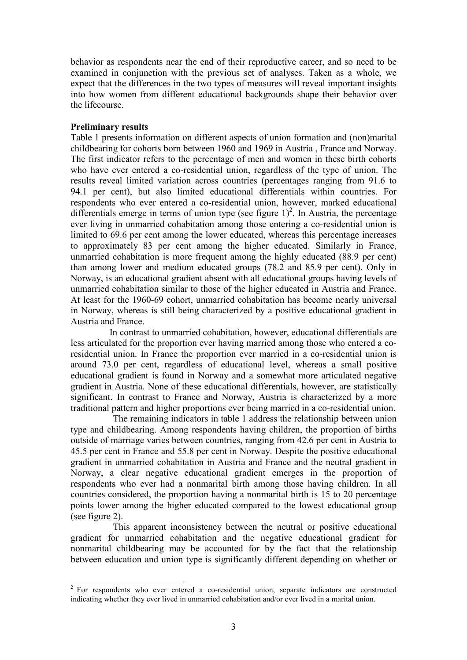behavior as respondents near the end of their reproductive career, and so need to be examined in conjunction with the previous set of analyses. Taken as a whole, we expect that the differences in the two types of measures will reveal important insights into how women from different educational backgrounds shape their behavior over the lifecourse.

# **Preliminary results**

Table 1 presents information on different aspects of union formation and (non)marital childbearing for cohorts born between 1960 and 1969 in Austria , France and Norway. The first indicator refers to the percentage of men and women in these birth cohorts who have ever entered a co-residential union, regardless of the type of union. The results reveal limited variation across countries (percentages ranging from 91.6 to 94.1 per cent), but also limited educational differentials within countries. For respondents who ever entered a co-residential union, however, marked educational differentials emerge in terms of union type (see figure  $1)^2$ . In Austria, the percentage ever living in unmarried cohabitation among those entering a co-residential union is limited to 69.6 per cent among the lower educated, whereas this percentage increases to approximately 83 per cent among the higher educated. Similarly in France, unmarried cohabitation is more frequent among the highly educated (88.9 per cent) than among lower and medium educated groups (78.2 and 85.9 per cent). Only in Norway, is an educational gradient absent with all educational groups having levels of unmarried cohabitation similar to those of the higher educated in Austria and France. At least for the 1960-69 cohort, unmarried cohabitation has become nearly universal in Norway, whereas is still being characterized by a positive educational gradient in Austria and France.

 In contrast to unmarried cohabitation, however, educational differentials are less articulated for the proportion ever having married among those who entered a coresidential union. In France the proportion ever married in a co-residential union is around 73.0 per cent, regardless of educational level, whereas a small positive educational gradient is found in Norway and a somewhat more articulated negative gradient in Austria. None of these educational differentials, however, are statistically significant. In contrast to France and Norway, Austria is characterized by a more traditional pattern and higher proportions ever being married in a co-residential union.

 The remaining indicators in table 1 address the relationship between union type and childbearing. Among respondents having children, the proportion of births outside of marriage varies between countries, ranging from 42.6 per cent in Austria to 45.5 per cent in France and 55.8 per cent in Norway. Despite the positive educational gradient in unmarried cohabitation in Austria and France and the neutral gradient in Norway, a clear negative educational gradient emerges in the proportion of respondents who ever had a nonmarital birth among those having children. In all countries considered, the proportion having a nonmarital birth is 15 to 20 percentage points lower among the higher educated compared to the lowest educational group (see figure 2).

 This apparent inconsistency between the neutral or positive educational gradient for unmarried cohabitation and the negative educational gradient for nonmarital childbearing may be accounted for by the fact that the relationship between education and union type is significantly different depending on whether or

<sup>&</sup>lt;sup>2</sup> For respondents who ever entered a co-residential union, separate indicators are constructed indicating whether they ever lived in unmarried cohabitation and/or ever lived in a marital union.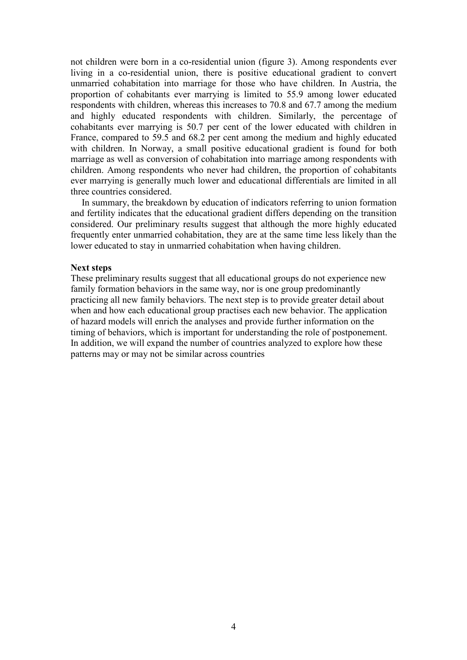not children were born in a co-residential union (figure 3). Among respondents ever living in a co-residential union, there is positive educational gradient to convert unmarried cohabitation into marriage for those who have children. In Austria, the proportion of cohabitants ever marrying is limited to 55.9 among lower educated respondents with children, whereas this increases to 70.8 and 67.7 among the medium and highly educated respondents with children. Similarly, the percentage of cohabitants ever marrying is 50.7 per cent of the lower educated with children in France, compared to 59.5 and 68.2 per cent among the medium and highly educated with children. In Norway, a small positive educational gradient is found for both marriage as well as conversion of cohabitation into marriage among respondents with children. Among respondents who never had children, the proportion of cohabitants ever marrying is generally much lower and educational differentials are limited in all three countries considered.

 In summary, the breakdown by education of indicators referring to union formation and fertility indicates that the educational gradient differs depending on the transition considered. Our preliminary results suggest that although the more highly educated frequently enter unmarried cohabitation, they are at the same time less likely than the lower educated to stay in unmarried cohabitation when having children.

#### **Next steps**

These preliminary results suggest that all educational groups do not experience new family formation behaviors in the same way, nor is one group predominantly practicing all new family behaviors. The next step is to provide greater detail about when and how each educational group practises each new behavior. The application of hazard models will enrich the analyses and provide further information on the timing of behaviors, which is important for understanding the role of postponement. In addition, we will expand the number of countries analyzed to explore how these patterns may or may not be similar across countries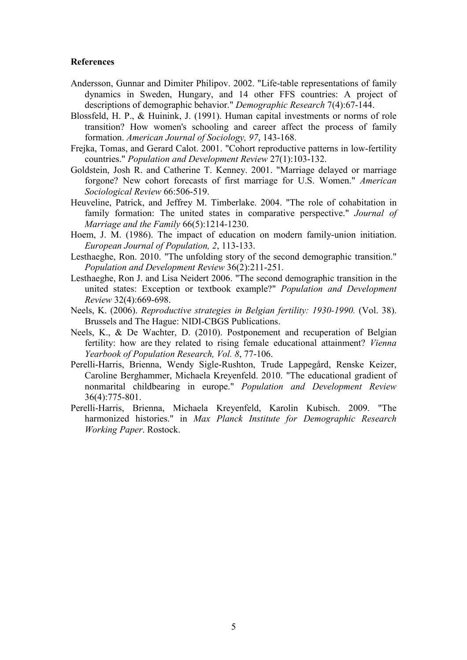## **References**

- Andersson, Gunnar and Dimiter Philipov. 2002. "Life-table representations of family dynamics in Sweden, Hungary, and 14 other FFS countries: A project of descriptions of demographic behavior." *Demographic Research* 7(4):67-144.
- Blossfeld, H. P., & Huinink, J. (1991). Human capital investments or norms of role transition? How women's schooling and career affect the process of family formation. *American Journal of Sociology, 97*, 143-168.
- Frejka, Tomas, and Gerard Calot. 2001. "Cohort reproductive patterns in low-fertility countries." *Population and Development Review* 27(1):103-132.
- Goldstein, Josh R. and Catherine T. Kenney. 2001. "Marriage delayed or marriage forgone? New cohort forecasts of first marriage for U.S. Women." *American Sociological Review* 66:506-519.
- Heuveline, Patrick, and Jeffrey M. Timberlake. 2004. "The role of cohabitation in family formation: The united states in comparative perspective." *Journal of Marriage and the Family* 66(5):1214-1230.
- Hoem, J. M. (1986). The impact of education on modern family-union initiation. *European Journal of Population, 2*, 113-133.
- Lesthaeghe, Ron. 2010. "The unfolding story of the second demographic transition." *Population and Development Review* 36(2):211-251.
- Lesthaeghe, Ron J. and Lisa Neidert 2006. "The second demographic transition in the united states: Exception or textbook example?" *Population and Development Review* 32(4):669-698.
- Neels, K. (2006). *Reproductive strategies in Belgian fertility: 1930-1990.* (Vol. 38). Brussels and The Hague: NIDI-CBGS Publications.
- Neels, K., & De Wachter, D. (2010). Postponement and recuperation of Belgian fertility: how are they related to rising female educational attainment? *Vienna Yearbook of Population Research, Vol. 8*, 77-106.
- Perelli-Harris, Brienna, Wendy Sigle-Rushton, Trude Lappegård, Renske Keizer, Caroline Berghammer, Michaela Kreyenfeld. 2010. "The educational gradient of nonmarital childbearing in europe." *Population and Development Review* 36(4):775-801.
- Perelli-Harris, Brienna, Michaela Kreyenfeld, Karolin Kubisch. 2009. "The harmonized histories." in *Max Planck Institute for Demographic Research Working Paper*. Rostock.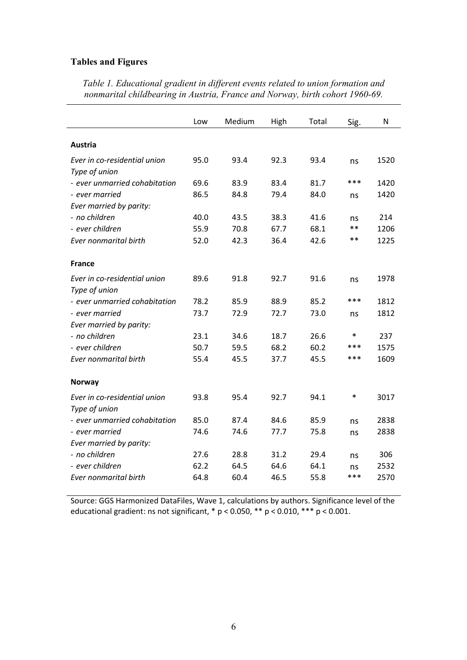# **Tables and Figures**

|                               | Low  | Medium | High | Total | Sig.   | N    |
|-------------------------------|------|--------|------|-------|--------|------|
| Austria                       |      |        |      |       |        |      |
| Ever in co-residential union  | 95.0 | 93.4   | 92.3 | 93.4  | ns     | 1520 |
| Type of union                 |      |        |      |       |        |      |
| - ever unmarried cohabitation | 69.6 | 83.9   | 83.4 | 81.7  | ***    | 1420 |
| - ever married                | 86.5 | 84.8   | 79.4 | 84.0  | ns     | 1420 |
| Ever married by parity:       |      |        |      |       |        |      |
| - no children                 | 40.0 | 43.5   | 38.3 | 41.6  | ns     | 214  |
| - ever children               | 55.9 | 70.8   | 67.7 | 68.1  | $**$   | 1206 |
| <b>Ever nonmarital birth</b>  | 52.0 | 42.3   | 36.4 | 42.6  | $***$  | 1225 |
| <b>France</b>                 |      |        |      |       |        |      |
| Ever in co-residential union  | 89.6 | 91.8   | 92.7 | 91.6  | ns     | 1978 |
| Type of union                 |      |        |      |       |        |      |
| - ever unmarried cohabitation | 78.2 | 85.9   | 88.9 | 85.2  | ***    | 1812 |
| - ever married                | 73.7 | 72.9   | 72.7 | 73.0  | ns     | 1812 |
| Ever married by parity:       |      |        |      |       |        |      |
| - no children                 | 23.1 | 34.6   | 18.7 | 26.6  | $\ast$ | 237  |
| - ever children               | 50.7 | 59.5   | 68.2 | 60.2  | ***    | 1575 |
| <b>Ever nonmarital birth</b>  | 55.4 | 45.5   | 37.7 | 45.5  | ***    | 1609 |
| <b>Norway</b>                 |      |        |      |       |        |      |
| Ever in co-residential union  | 93.8 | 95.4   | 92.7 | 94.1  | $\ast$ | 3017 |
| Type of union                 |      |        |      |       |        |      |
| - ever unmarried cohabitation | 85.0 | 87.4   | 84.6 | 85.9  | ns     | 2838 |
| - ever married                | 74.6 | 74.6   | 77.7 | 75.8  | ns     | 2838 |
| Ever married by parity:       |      |        |      |       |        |      |
| - no children                 | 27.6 | 28.8   | 31.2 | 29.4  | ns     | 306  |
| - ever children               | 62.2 | 64.5   | 64.6 | 64.1  | ns     | 2532 |
| Ever nonmarital birth         | 64.8 | 60.4   | 46.5 | 55.8  | ***    | 2570 |

*Table 1. Educational gradient in different events related to union formation and nonmarital childbearing in Austria, France and Norway, birth cohort 1960-69.* 

Source: GGS Harmonized DataFiles, Wave 1, calculations by authors. Significance level of the educational gradient: ns not significant,  $* p < 0.050$ ,  $** p < 0.010$ ,  $*** p < 0.001$ .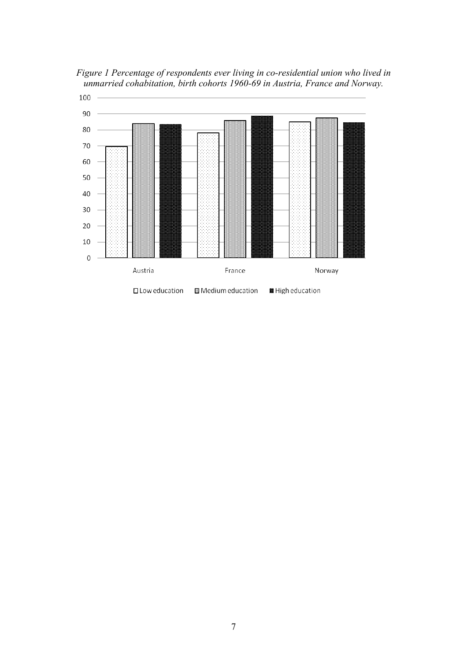

*Figure 1 Percentage of respondents ever living in co-residential union who lived in unmarried cohabitation, birth cohorts 1960-69 in Austria, France and Norway.*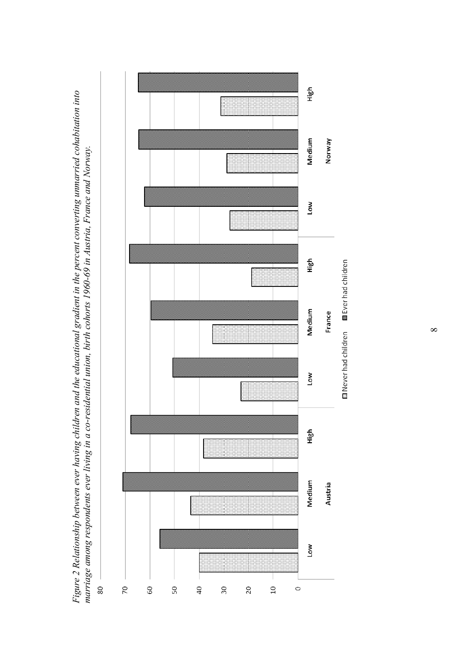